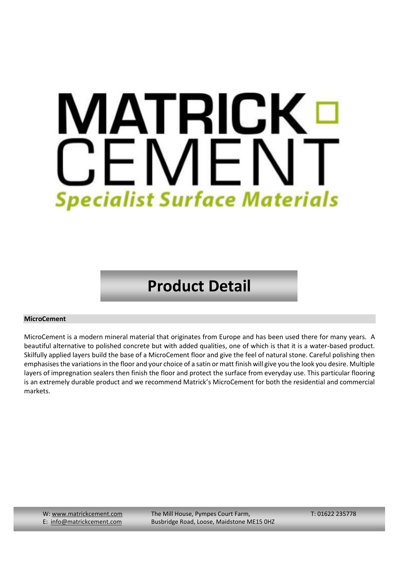# IATRICK V CEMEN **Specialist Surface Materials**

# **Product Detail**

## **MicroCement**

MicroCement is a modern mineral material that originates from Europe and has been used there for many years. A beautiful alternative to polished concrete but with added qualities, one of which is that it is a water-based product. Skilfully applied layers build the base of a MicroCement floor and give the feel of natural stone. Careful polishing then emphasises the variations in the floor and your choice of a satin or matt finish will give you the look you desire. Multiple layers of impregnation sealers then finish the floor and protect the surface from everyday use. This particular flooring is an extremely durable product and we recommend Matrick's MicroCement for both the residential and commercial markets.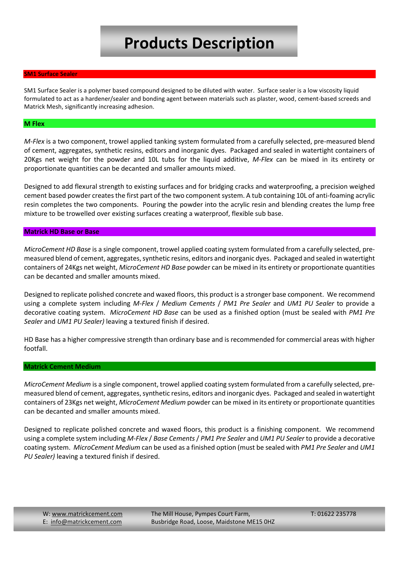# **Products Description**

#### **SM1 Surface Sealer**

SM1 Surface Sealer is a polymer based compound designed to be diluted with water. Surface sealer is a low viscosity liquid formulated to act as a hardener/sealer and bonding agent between materials such as plaster, wood, cement-based screeds and Matrick Mesh, significantly increasing adhesion.

#### **M Flex**

*M-Flex* is a two component, trowel applied tanking system formulated from a carefully selected, pre-measured blend of cement, aggregates, synthetic resins, editors and inorganic dyes. Packaged and sealed in watertight containers of 20Kgs net weight for the powder and 10L tubs for the liquid additive, *M-Flex* can be mixed in its entirety or proportionate quantities can be decanted and smaller amounts mixed.

Designed to add flexural strength to existing surfaces and for bridging cracks and waterproofing, a precision weighed cement based powder creates the first part of the two component system. A tub containing 10L of anti-foaming acrylic resin completes the two components. Pouring the powder into the acrylic resin and blending creates the lump free mixture to be trowelled over existing surfaces creating a waterproof, flexible sub base.

### **Matrick HD Base or Base**

*MicroCement HD Base* is a single component, trowel applied coating system formulated from a carefully selected, premeasured blend of cement, aggregates, synthetic resins, editors and inorganic dyes. Packaged and sealed in watertight containers of 24Kgs net weight, *MicroCement HD Base* powder can be mixed in its entirety or proportionate quantities can be decanted and smaller amounts mixed.

Designed to replicate polished concrete and waxed floors, this product is a stronger base component. We recommend using a complete system including *M-Flex* / *Medium Cements* / *PM1 Pre Sealer* and *UM1 PU Sealer* to provide a decorative coating system. *MicroCement HD Base* can be used as a finished option (must be sealed with *PM1 Pre Sealer* and *UM1 PU Sealer)* leaving a textured finish if desired.

HD Base has a higher compressive strength than ordinary base and is recommended for commercial areas with higher footfall.

#### **Matrick Cement Medium**

*MicroCement Medium* is a single component, trowel applied coating system formulated from a carefully selected, premeasured blend of cement, aggregates, synthetic resins, editors and inorganic dyes. Packaged and sealed in watertight containers of 23Kgs net weight, *MicroCement Medium* powder can be mixed in its entirety or proportionate quantities can be decanted and smaller amounts mixed.

Designed to replicate polished concrete and waxed floors, this product is a finishing component. We recommend using a complete system including *M-Flex* / *Base Cements* / *PM1 Pre Sealer* and *UM1 PU Sealer* to provide a decorative coating system. *MicroCement Medium* can be used as a finished option (must be sealed with *PM1 Pre Sealer* and *UM1 PU Sealer)* leaving a textured finish if desired.